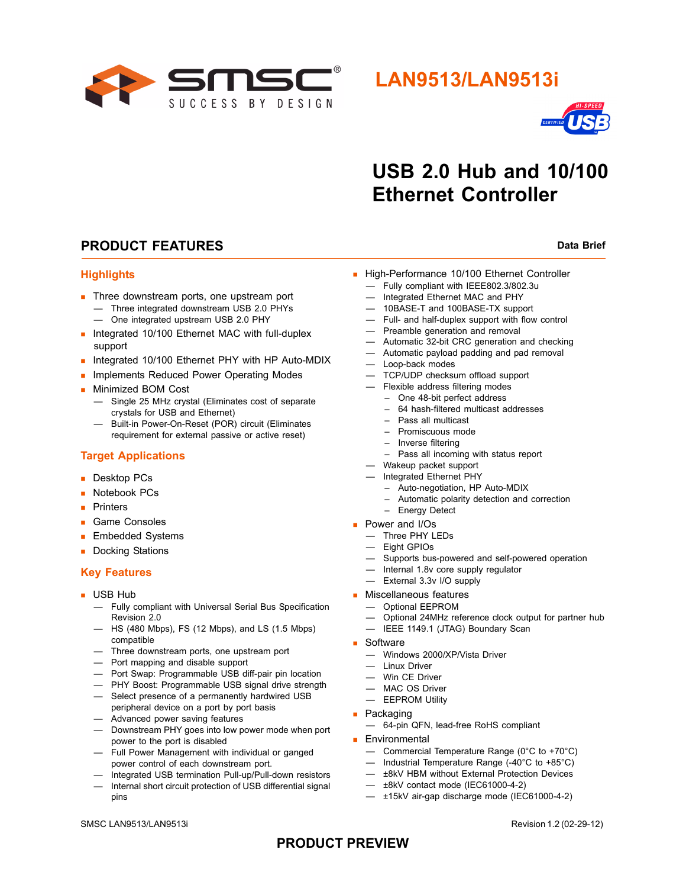

## **LAN9513/LAN9513i**



# **USB 2.0 Hub and 10/100 Ethernet Controller**

### **PRODUCT FEATURES** Data Brief

### **Highlights**

- **Three downstream ports, one upstream port** — Three integrated downstream USB 2.0 PHYs
	- One integrated upstream USB 2.0 PHY
- **Integrated 10/100 Ethernet MAC with full-duplex** support
- Integrated 10/100 Ethernet PHY with HP Auto-MDIX
- **Implements Reduced Power Operating Modes**
- **Minimized BOM Cost** 
	- Single 25 MHz crystal (Eliminates cost of separate crystals for USB and Ethernet)
	- Built-in Power-On-Reset (POR) circuit (Eliminates requirement for external passive or active reset)

### **Target Applications**

- **Desktop PCs**
- Notebook PCs
- **Printers**
- **Game Consoles**
- **Embedded Systems**
- Docking Stations

### **Key Features**

- **USB Hub** 
	- Fully compliant with Universal Serial Bus Specification Revision 2.0
	- HS (480 Mbps), FS (12 Mbps), and LS (1.5 Mbps) compatible
	- Three downstream ports, one upstream port
	- Port mapping and disable support
	- Port Swap: Programmable USB diff-pair pin location
	- PHY Boost: Programmable USB signal drive strength
	- Select presence of a permanently hardwired USB
	- peripheral device on a port by port basis — Advanced power saving features
	- Downstream PHY goes into low power mode when port
	- power to the port is disabled
	- Full Power Management with individual or ganged power control of each downstream port.
	- Integrated USB termination Pull-up/Pull-down resistors — Internal short circuit protection of USB differential signal pins
- High-Performance 10/100 Ethernet Controller
	- Fully compliant with IEEE802.3/802.3u
	- Integrated Ethernet MAC and PHY
	- 10BASE-T and 100BASE-TX support
	- Full- and half-duplex support with flow control
	- Preamble generation and removal
	- Automatic 32-bit CRC generation and checking
	- Automatic payload padding and pad removal
	- Loop-back modes
	- TCP/UDP checksum offload support
	- Flexible address filtering modes
		- One 48-bit perfect address
		- 64 hash-filtered multicast addresses
		- Pass all multicast
		- Promiscuous mode
		- Inverse filtering
		- Pass all incoming with status report
	- Wakeup packet support
	- Integrated Ethernet PHY
		- Auto-negotiation, HP Auto-MDIX
		- Automatic polarity detection and correction
		- Energy Detect
- **Power and I/Os** 
	- Three PHY LEDs
	- Eight GPIOs
	- Supports bus-powered and self-powered operation
	- Internal 1.8v core supply regulator
	- External 3.3v I/O supply
- **Miscellaneous features** 
	- Optional EEPROM
	- Optional 24MHz reference clock output for partner hub
	- IEEE 1149.1 (JTAG) Boundary Scan
- Software
	- Windows 2000/XP/Vista Driver
	- Linux Driver
	- Win CE Driver
	- MAC OS Driver
	- EEPROM Utility
- **Packaging** 
	- 64-pin QFN, lead-free RoHS compliant
- **Environmental** 
	- Commercial Temperature Range (0°C to +70°C)
	- Industrial Temperature Range (-40°C to +85°C)
	- ±8kV HBM without External Protection Devices
	- ±8kV contact mode (IEC61000-4-2)
	- ±15kV air-gap discharge mode (IEC61000-4-2)

### **PRODUCT PREVIEW**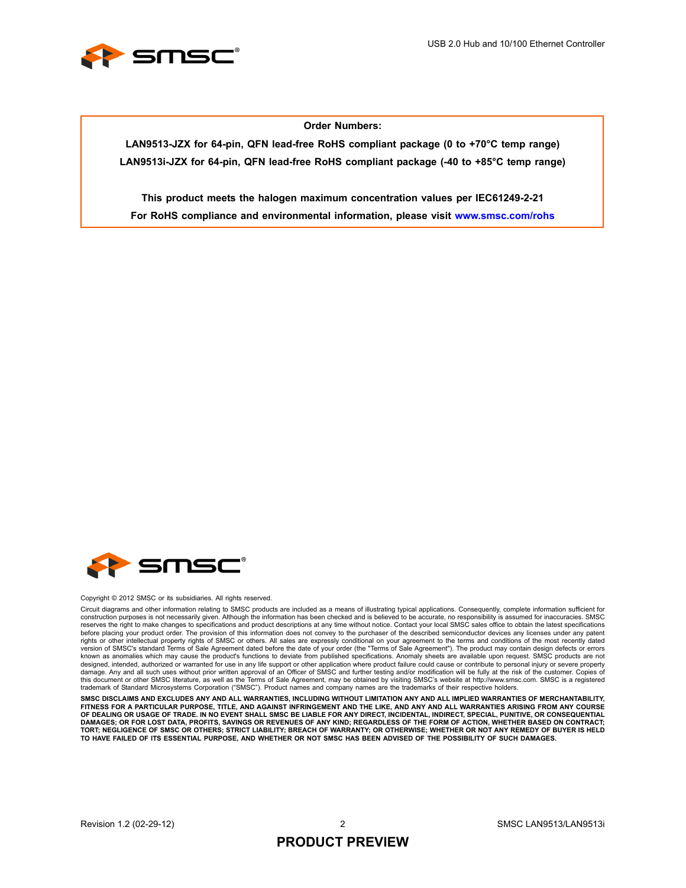

### **Order Numbers:**

**LAN9513-JZX for 64-pin, QFN lead-free RoHS compliant package (0 to +70°C temp range) LAN9513i-JZX for 64-pin, QFN lead-free RoHS compliant package (-40 to +85°C temp range)**

**This product meets the halogen maximum concentration values per IEC61249-2-21 For RoHS compliance and environmental information, please visit www.smsc.com/rohs**



#### Copyright © 2012 SMSC or its subsidiaries. All rights reserved.

Circuit diagrams and other information relating to SMSC products are included as a means of illustrating typical applications. Consequently, complete information sufficient for construction purposes is not necessarily given. Although the information has been checked and is believed to be accurate, no responsibility is assumed for inaccuracies. SMSC<br>reserves the right to make changes to specificat before placing your product order. The provision of this information does not convey to the purchaser of the described semiconductor devices any licenses under any patent rights or other intellectual property rights of SMSC or others. All sales are expressly conditional on your agreement to the terms and conditions of the most recently dated<br>version of SMSC's standard Terms of Sale Agreemen known as anomalies which may cause the product's functions to deviate from published specifications. Anomaly sheets are available upon request. SMSC products are not designed, intended, authorized or warranted for use in any life support or other application where product failure could cause or contribute to personal injury or severe property<br>damage. Any and all such uses without prior this document or other SMSC literature, as well as the Terms of Sale Agreement, may be obtained by visiting SMSC's website at http://www.smsc.com. SMSC is a registered trademark of Standard Microsystems Corporation ("SMSC"). Product names and company names are the trademarks of their respective holders.

**SMSC DISCLAIMS AND EXCLUDES ANY AND ALL WARRANTIES, INCLUDING WITHOUT LIMITATION ANY AND ALL IMPLIED WARRANTIES OF MERCHANTABILITY,** FITNESS FOR A PARTICULAR PURPOSE, TITLE, AND AGAINST INFRINGEMENT AND THE LIKE, AND ANY AND ALL WARRANTIES ARISING FROM ANY COURSE<br>OF DEALING OR USAGE OF TRADE. IN NO EVENT SHALL SMSC BE LIABLE FOR ANY DIRECT, INCIDENTAL, **DAMAGES; OR FOR LOST DATA, PROFITS, SAVINGS OR REVENUES OF ANY KIND; REGARDLESS OF THE FORM OF ACTION, WHETHER BASED ON CONTRACT; TORT; NEGLIGENCE OF SMSC OR OTHERS; STRICT LIABILITY; BREACH OF WARRANTY; OR OTHERWISE; WHETHER OR NOT ANY REMEDY OF BUYER IS HELD TO HAVE FAILED OF ITS ESSENTIAL PURPOSE, AND WHETHER OR NOT SMSC HAS BEEN ADVISED OF THE POSSIBILITY OF SUCH DAMAGES.**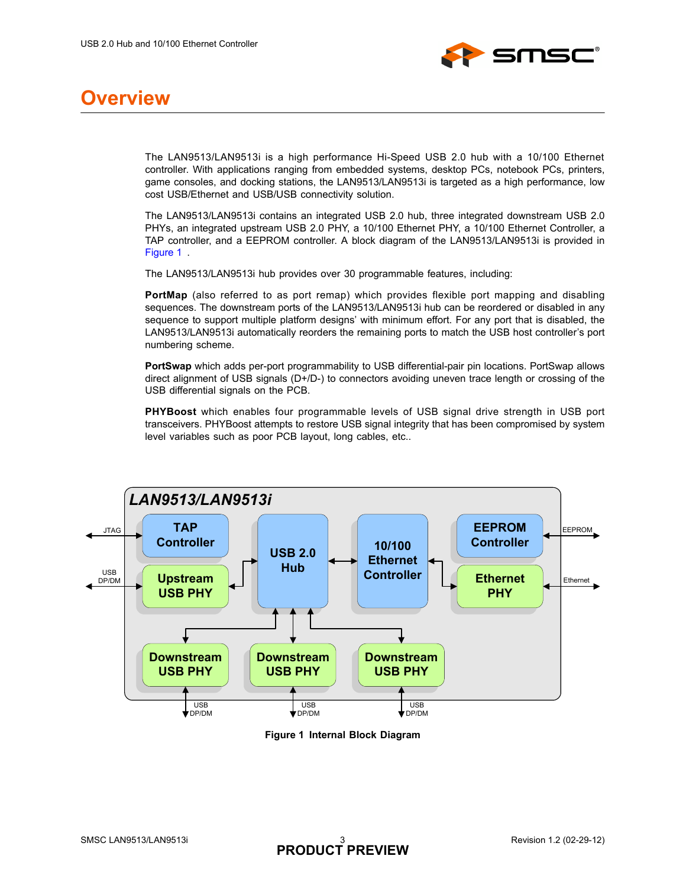

## **Overview**

The LAN9513/LAN9513i is a high performance Hi-Speed USB 2.0 hub with a 10/100 Ethernet controller. With applications ranging from embedded systems, desktop PCs, notebook PCs, printers, game consoles, and docking stations, the LAN9513/LAN9513i is targeted as a high performance, low cost USB/Ethernet and USB/USB connectivity solution.

The LAN9513/LAN9513i contains an integrated USB 2.0 hub, three integrated downstream USB 2.0 PHYs, an integrated upstream USB 2.0 PHY, a 10/100 Ethernet PHY, a 10/100 Ethernet Controller, a TAP controller, and a EEPROM controller. A block diagram of the LAN9513/LAN9513i is provided in [Figure 1](#page-2-0) .

The LAN9513/LAN9513i hub provides over 30 programmable features, including:

**PortMap** (also referred to as port remap) which provides flexible port mapping and disabling sequences. The downstream ports of the LAN9513/LAN9513i hub can be reordered or disabled in any sequence to support multiple platform designs' with minimum effort. For any port that is disabled, the LAN9513/LAN9513i automatically reorders the remaining ports to match the USB host controller's port numbering scheme.

**PortSwap** which adds per-port programmability to USB differential-pair pin locations. PortSwap allows direct alignment of USB signals (D+/D-) to connectors avoiding uneven trace length or crossing of the USB differential signals on the PCB.

**PHYBoost** which enables four programmable levels of USB signal drive strength in USB port transceivers. PHYBoost attempts to restore USB signal integrity that has been compromised by system level variables such as poor PCB layout, long cables, etc..



<span id="page-2-0"></span>**Figure 1 Internal Block Diagram**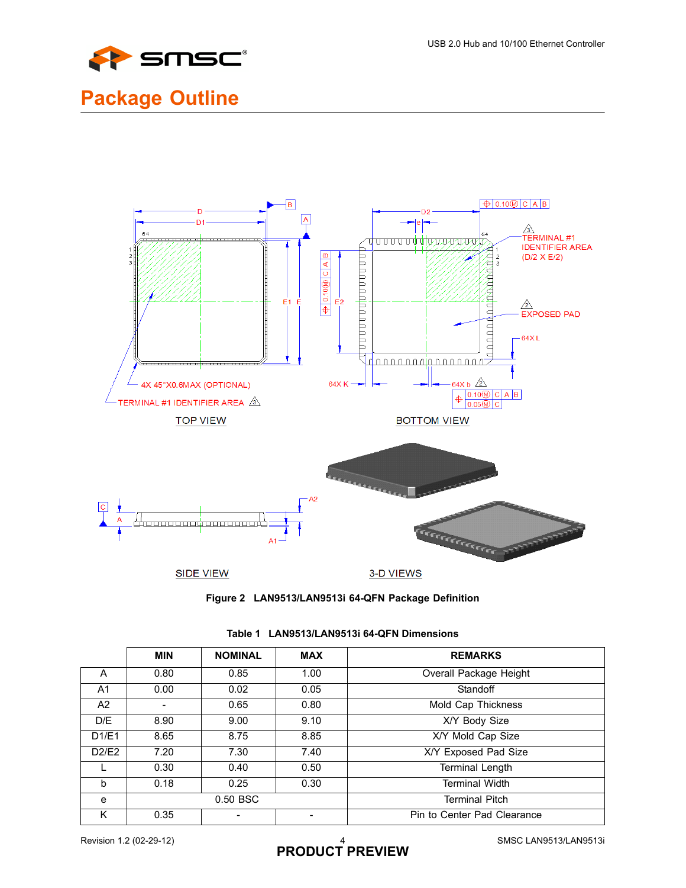

# **Package Outline**





|       | <b>MIN</b> | <b>NOMINAL</b> | <b>MAX</b> | <b>REMARKS</b>              |
|-------|------------|----------------|------------|-----------------------------|
| A     | 0.80       | 0.85           | 1.00       | Overall Package Height      |
| A1    | 0.00       | 0.02           | 0.05       | Standoff                    |
| A2    |            | 0.65           | 0.80       | Mold Cap Thickness          |
| D/E   | 8.90       | 9.00           | 9.10       | X/Y Body Size               |
| D1/E1 | 8.65       | 8.75           | 8.85       | X/Y Mold Cap Size           |
| D2/E2 | 7.20       | 7.30           | 7.40       | X/Y Exposed Pad Size        |
|       | 0.30       | 0.40           | 0.50       | <b>Terminal Length</b>      |
| b     | 0.18       | 0.25           | 0.30       | <b>Terminal Width</b>       |
| e     | 0.50 BSC   |                |            | <b>Terminal Pitch</b>       |
| Κ     | 0.35       |                |            | Pin to Center Pad Clearance |

### **Table 1 LAN9513/LAN9513i 64-QFN Dimensions**

# Revision 1.2 (02-29-12) **PRODUCT** PREVIEW **SMSC LAN9513/LAN9513i**